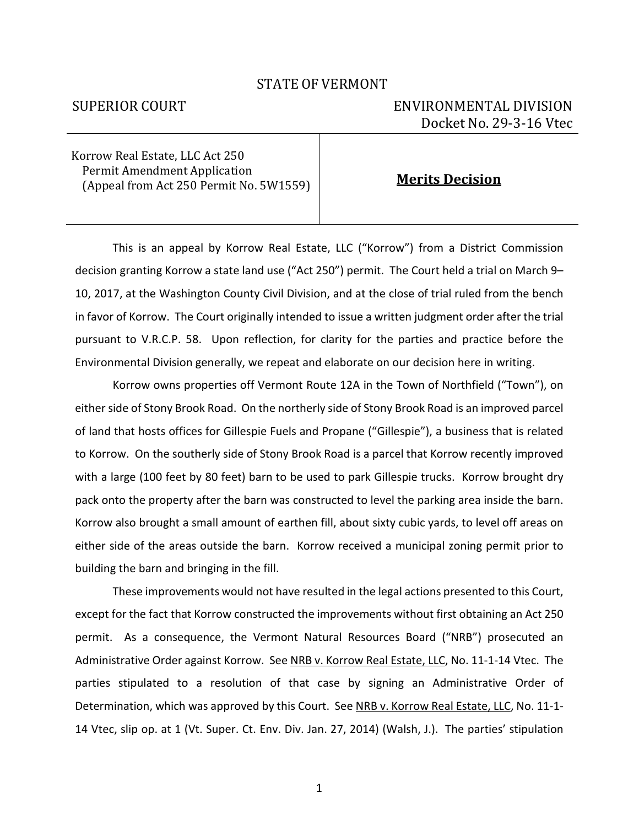## STATE OF VERMONT

## SUPERIOR COURT ENVIRONMENTAL DIVISION Docket No. 29-3-16 Vtec

Korrow Real Estate, LLC Act 250 Permit Amendment Application (Appeal from Act 250 Permit No. 5W1559) **Merits Decision**

This is an appeal by Korrow Real Estate, LLC ("Korrow") from a District Commission decision granting Korrow a state land use ("Act 250") permit. The Court held a trial on March 9– 10, 2017, at the Washington County Civil Division, and at the close of trial ruled from the bench in favor of Korrow. The Court originally intended to issue a written judgment order after the trial pursuant to V.R.C.P. 58. Upon reflection, for clarity for the parties and practice before the Environmental Division generally, we repeat and elaborate on our decision here in writing.

Korrow owns properties off Vermont Route 12A in the Town of Northfield ("Town"), on either side of Stony Brook Road. On the northerly side of Stony Brook Road is an improved parcel of land that hosts offices for Gillespie Fuels and Propane ("Gillespie"), a business that is related to Korrow. On the southerly side of Stony Brook Road is a parcel that Korrow recently improved with a large (100 feet by 80 feet) barn to be used to park Gillespie trucks. Korrow brought dry pack onto the property after the barn was constructed to level the parking area inside the barn. Korrow also brought a small amount of earthen fill, about sixty cubic yards, to level off areas on either side of the areas outside the barn. Korrow received a municipal zoning permit prior to building the barn and bringing in the fill.

These improvements would not have resulted in the legal actions presented to this Court, except for the fact that Korrow constructed the improvements without first obtaining an Act 250 permit. As a consequence, the Vermont Natural Resources Board ("NRB") prosecuted an Administrative Order against Korrow. See NRB v. Korrow Real Estate, LLC, No. 11-1-14 Vtec. The parties stipulated to a resolution of that case by signing an Administrative Order of Determination, which was approved by this Court. See NRB v. Korrow Real Estate, LLC, No. 11-1- 14 Vtec, slip op. at 1 (Vt. Super. Ct. Env. Div. Jan. 27, 2014) (Walsh, J.). The parties' stipulation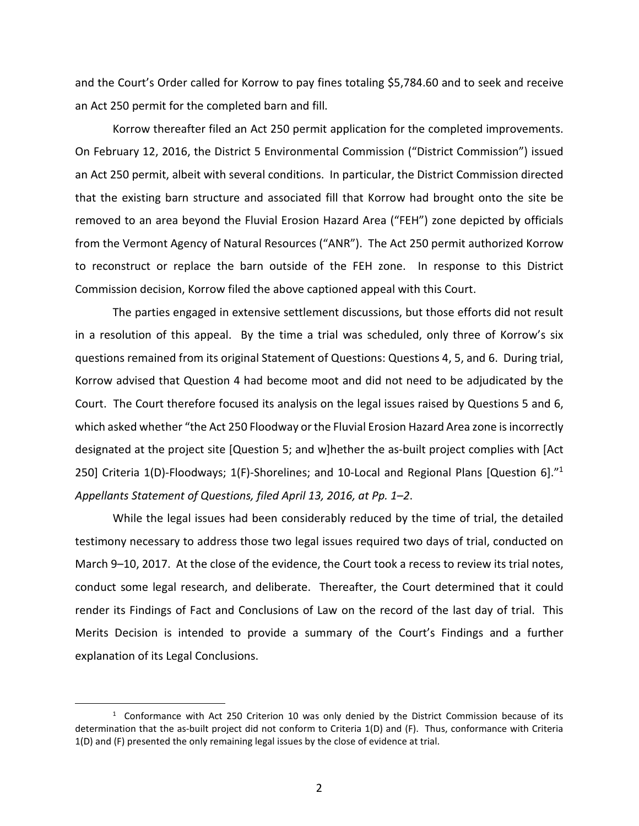and the Court's Order called for Korrow to pay fines totaling \$5,784.60 and to seek and receive an Act 250 permit for the completed barn and fill.

Korrow thereafter filed an Act 250 permit application for the completed improvements. On February 12, 2016, the District 5 Environmental Commission ("District Commission") issued an Act 250 permit, albeit with several conditions. In particular, the District Commission directed that the existing barn structure and associated fill that Korrow had brought onto the site be removed to an area beyond the Fluvial Erosion Hazard Area ("FEH") zone depicted by officials from the Vermont Agency of Natural Resources ("ANR"). The Act 250 permit authorized Korrow to reconstruct or replace the barn outside of the FEH zone. In response to this District Commission decision, Korrow filed the above captioned appeal with this Court.

The parties engaged in extensive settlement discussions, but those efforts did not result in a resolution of this appeal. By the time a trial was scheduled, only three of Korrow's six questions remained from its original Statement of Questions: Questions 4, 5, and 6. During trial, Korrow advised that Question 4 had become moot and did not need to be adjudicated by the Court. The Court therefore focused its analysis on the legal issues raised by Questions 5 and 6, which asked whether "the Act 250 Floodway or the Fluvial Erosion Hazard Area zone is incorrectly designated at the project site [Question 5; and w]hether the as-built project complies with [Act 250] Criteria 1(D)-Floodways; 1(F)-Shorelines; and 10-Local and Regional Plans [Question 6]."<sup>1</sup> *Appellants Statement of Questions, filed April 13, 2016, at Pp. 1–2*.

While the legal issues had been considerably reduced by the time of trial, the detailed testimony necessary to address those two legal issues required two days of trial, conducted on March 9–10, 2017. At the close of the evidence, the Court took a recess to review its trial notes, conduct some legal research, and deliberate. Thereafter, the Court determined that it could render its Findings of Fact and Conclusions of Law on the record of the last day of trial. This Merits Decision is intended to provide a summary of the Court's Findings and a further explanation of its Legal Conclusions.

 $\overline{a}$ 

 $1$  Conformance with Act 250 Criterion 10 was only denied by the District Commission because of its determination that the as-built project did not conform to Criteria 1(D) and (F). Thus, conformance with Criteria 1(D) and (F) presented the only remaining legal issues by the close of evidence at trial.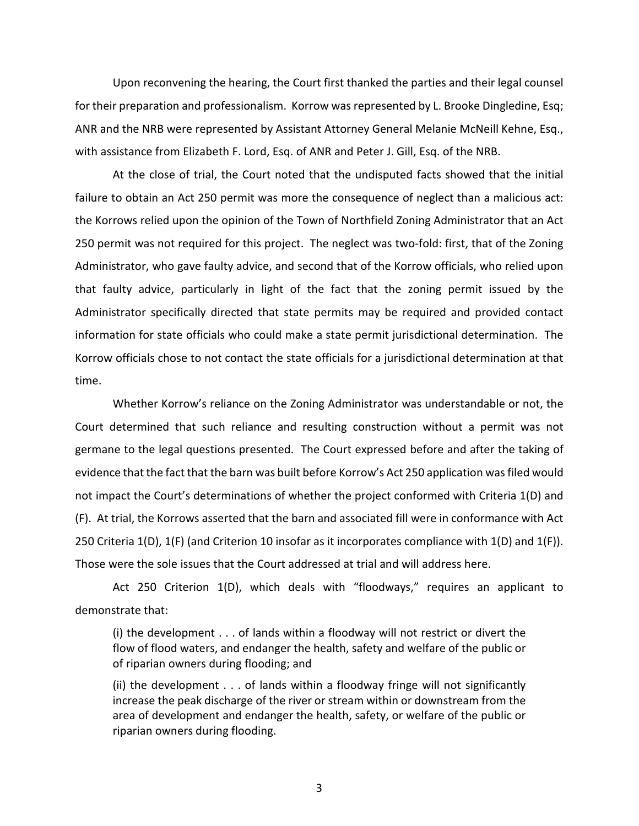Upon reconvening the hearing, the Court first thanked the parties and their legal counsel for their preparation and professionalism. Korrow was represented by L. Brooke Dingledine, Esq; ANR and the NRB were represented by Assistant Attorney General Melanie McNeill Kehne, Esq., with assistance from Elizabeth F. Lord, Esq. of ANR and Peter J. Gill, Esq. of the NRB.

At the close of trial, the Court noted that the undisputed facts showed that the initial failure to obtain an Act 250 permit was more the consequence of neglect than a malicious act: the Korrows relied upon the opinion of the Town of Northfield Zoning Administrator that an Act 250 permit was not required for this project. The neglect was two-fold: first, that of the Zoning Administrator, who gave faulty advice, and second that of the Korrow officials, who relied upon that faulty advice, particularly in light of the fact that the zoning permit issued by the Administrator specifically directed that state permits may be required and provided contact information for state officials who could make a state permit jurisdictional determination. The Korrow officials chose to not contact the state officials for a jurisdictional determination at that time.

Whether Korrow's reliance on the Zoning Administrator was understandable or not, the Court determined that such reliance and resulting construction without a permit was not germane to the legal questions presented. The Court expressed before and after the taking of evidence that the fact that the barn was built before Korrow's Act 250 application was filed would not impact the Court's determinations of whether the project conformed with Criteria 1(D) and (F). At trial, the Korrows asserted that the barn and associated fill were in conformance with Act 250 Criteria 1(D), 1(F) (and Criterion 10 insofar as it incorporates compliance with 1(D) and 1(F)). Those were the sole issues that the Court addressed at trial and will address here.

Act 250 Criterion 1(D), which deals with "floodways," requires an applicant to demonstrate that:

(i) the development . . . of lands within a floodway will not restrict or divert the flow of flood waters, and endanger the health, safety and welfare of the public or of riparian owners during flooding; and

(ii) the development . . . of lands within a floodway fringe will not significantly increase the peak discharge of the river or stream within or downstream from the area of development and endanger the health, safety, or welfare of the public or riparian owners during flooding.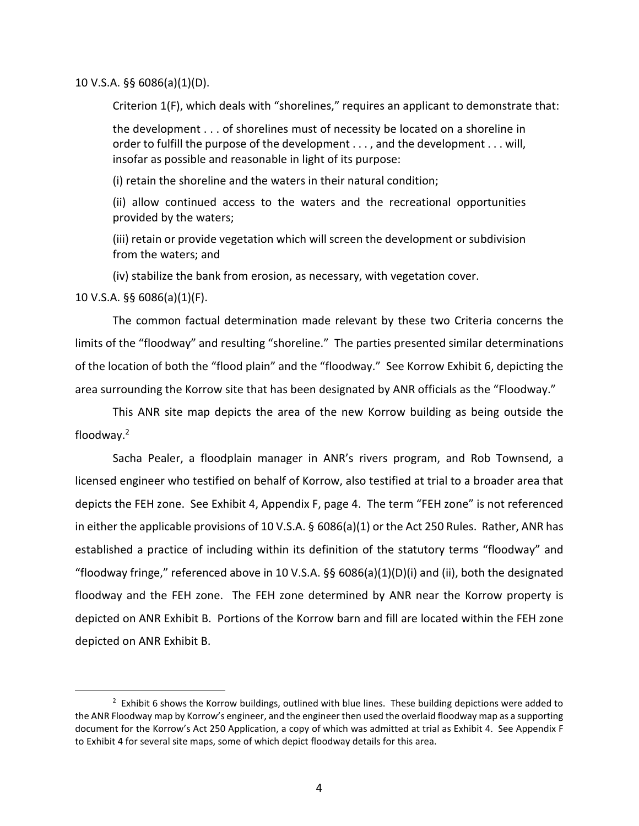10 V.S.A. §§ 6086(a)(1)(D).

Criterion 1(F), which deals with "shorelines," requires an applicant to demonstrate that:

the development . . . of shorelines must of necessity be located on a shoreline in order to fulfill the purpose of the development . . . , and the development . . . will, insofar as possible and reasonable in light of its purpose:

(i) retain the shoreline and the waters in their natural condition;

(ii) allow continued access to the waters and the recreational opportunities provided by the waters;

(iii) retain or provide vegetation which will screen the development or subdivision from the waters; and

(iv) stabilize the bank from erosion, as necessary, with vegetation cover.

10 V.S.A. §§ 6086(a)(1)(F).

l

The common factual determination made relevant by these two Criteria concerns the limits of the "floodway" and resulting "shoreline." The parties presented similar determinations of the location of both the "flood plain" and the "floodway." See Korrow Exhibit 6, depicting the area surrounding the Korrow site that has been designated by ANR officials as the "Floodway."

This ANR site map depicts the area of the new Korrow building as being outside the floodway.<sup>2</sup>

Sacha Pealer, a floodplain manager in ANR's rivers program, and Rob Townsend, a licensed engineer who testified on behalf of Korrow, also testified at trial to a broader area that depicts the FEH zone. See Exhibit 4, Appendix F, page 4. The term "FEH zone" is not referenced in either the applicable provisions of 10 V.S.A. § 6086(a)(1) or the Act 250 Rules. Rather, ANR has established a practice of including within its definition of the statutory terms "floodway" and "floodway fringe," referenced above in 10 V.S.A. §§ 6086(a)(1)(D)(i) and (ii), both the designated floodway and the FEH zone. The FEH zone determined by ANR near the Korrow property is depicted on ANR Exhibit B. Portions of the Korrow barn and fill are located within the FEH zone depicted on ANR Exhibit B.

 $2$  Exhibit 6 shows the Korrow buildings, outlined with blue lines. These building depictions were added to the ANR Floodway map by Korrow's engineer, and the engineer then used the overlaid floodway map as a supporting document for the Korrow's Act 250 Application, a copy of which was admitted at trial as Exhibit 4. See Appendix F to Exhibit 4 for several site maps, some of which depict floodway details for this area.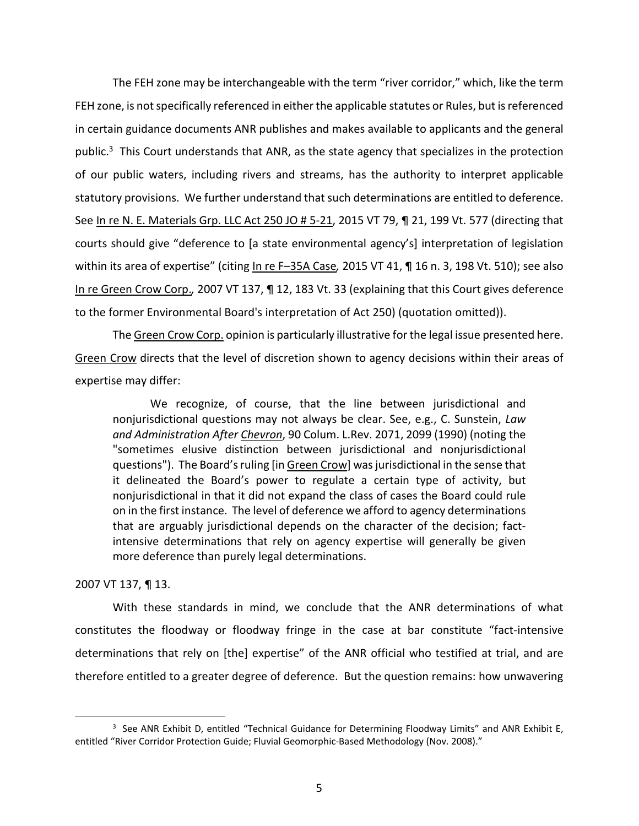The FEH zone may be interchangeable with the term "river corridor," which, like the term FEH zone, is not specifically referenced in either the applicable statutes or Rules, but is referenced in certain guidance documents ANR publishes and makes available to applicants and the general public.<sup>3</sup> This Court understands that ANR, as the state agency that specializes in the protection of our public waters, including rivers and streams, has the authority to interpret applicable statutory provisions. We further understand that such determinations are entitled to deference. See In re N. E. Materials Grp. LLC Act 250 JO # 5-21, 2015 VT 79, ¶ 21, 199 Vt. 577 (directing that courts should give "deference to [a state environmental agency's] interpretation of legislation within its area of expertise" (citing In re F–35A Case*,* 2015 VT 41, ¶ 16 n. 3, 198 Vt. 510); see also In re Green Crow Corp.*,* 2007 VT 137, ¶ 12, 183 Vt. 33 (explaining that this Court gives deference to the former Environmental Board's interpretation of Act 250) (quotation omitted)).

The Green Crow Corp. opinion is particularly illustrative for the legal issue presented here. Green Crow directs that the level of discretion shown to agency decisions within their areas of expertise may differ:

We recognize, of course, that the line between jurisdictional and nonjurisdictional questions may not always be clear. See, e.g., C. Sunstein, *Law and Administration After Chevron*, 90 Colum. L.Rev. 2071, 2099 (1990) (noting the "sometimes elusive distinction between jurisdictional and nonjurisdictional questions"). The Board's ruling [in Green Crow] was jurisdictional in the sense that it delineated the Board's power to regulate a certain type of activity, but nonjurisdictional in that it did not expand the class of cases the Board could rule on in the first instance. The level of deference we afford to agency determinations that are arguably jurisdictional depends on the character of the decision; factintensive determinations that rely on agency expertise will generally be given more deference than purely legal determinations.

2007 VT 137, ¶ 13.

.

With these standards in mind, we conclude that the ANR determinations of what constitutes the floodway or floodway fringe in the case at bar constitute "fact-intensive determinations that rely on [the] expertise" of the ANR official who testified at trial, and are therefore entitled to a greater degree of deference. But the question remains: how unwavering

<sup>&</sup>lt;sup>3</sup> See ANR Exhibit D, entitled "Technical Guidance for Determining Floodway Limits" and ANR Exhibit E, entitled "River Corridor Protection Guide; Fluvial Geomorphic-Based Methodology (Nov. 2008)."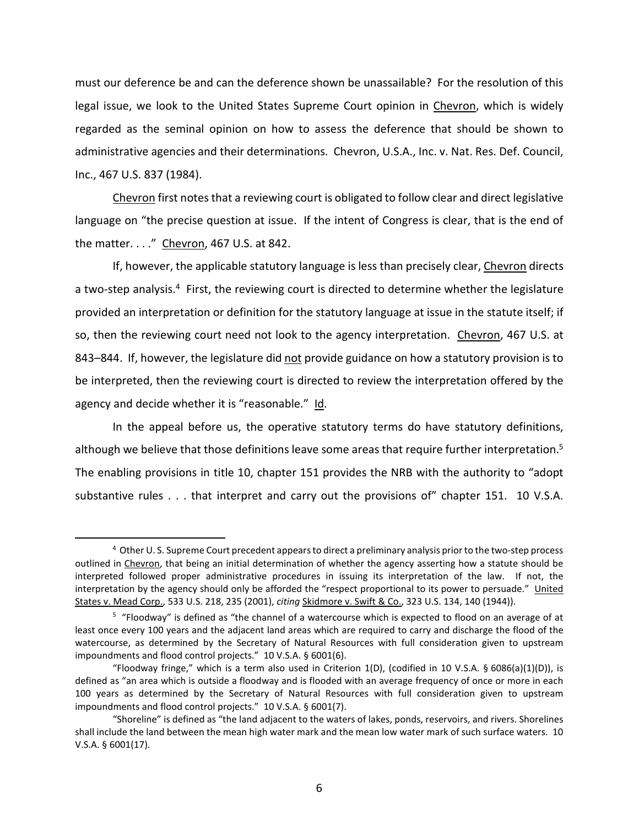must our deference be and can the deference shown be unassailable? For the resolution of this legal issue, we look to the United States Supreme Court opinion in Chevron, which is widely regarded as the seminal opinion on how to assess the deference that should be shown to administrative agencies and their determinations. Chevron, U.S.A., Inc. v. Nat. Res. Def. Council, Inc., 467 U.S. 837 (1984).

Chevron first notes that a reviewing court is obligated to follow clear and direct legislative language on "the precise question at issue. If the intent of Congress is clear, that is the end of the matter. . . ." Chevron, 467 U.S. at 842.

If, however, the applicable statutory language is less than precisely clear, Chevron directs a two-step analysis.<sup>4</sup> First, the reviewing court is directed to determine whether the legislature provided an interpretation or definition for the statutory language at issue in the statute itself; if so, then the reviewing court need not look to the agency interpretation. Chevron, 467 U.S. at 843–844. If, however, the legislature did not provide guidance on how a statutory provision is to be interpreted, then the reviewing court is directed to review the interpretation offered by the agency and decide whether it is "reasonable." Id.

In the appeal before us, the operative statutory terms do have statutory definitions, although we believe that those definitions leave some areas that require further interpretation.<sup>5</sup> The enabling provisions in title 10, chapter 151 provides the NRB with the authority to "adopt substantive rules . . . that interpret and carry out the provisions of" chapter 151. 10 V.S.A.

.

<sup>4</sup> Other U. S. Supreme Court precedent appears to direct a preliminary analysis prior to the two-step process outlined in Chevron, that being an initial determination of whether the agency asserting how a statute should be interpreted followed proper administrative procedures in issuing its interpretation of the law. If not, the interpretation by the agency should only be afforded the "respect proportional to its power to persuade." United States v. Mead Corp., 533 U.S. 218, 235 (2001), *citing* Skidmore v. Swift & Co., 323 U.S. 134, 140 (1944)).

<sup>5</sup> "Floodway" is defined as "the channel of a watercourse which is expected to flood on an average of at least once every 100 years and the adjacent land areas which are required to carry and discharge the flood of the watercourse, as determined by the Secretary of Natural Resources with full consideration given to upstream impoundments and flood control projects." 10 V.S.A. § 6001(6).

<sup>&</sup>quot;Floodway fringe," which is a term also used in Criterion 1(D), (codified in 10 V.S.A. § 6086(a)(1)(D)), is defined as "an area which is outside a floodway and is flooded with an average frequency of once or more in each 100 years as determined by the Secretary of Natural Resources with full consideration given to upstream impoundments and flood control projects." 10 V.S.A. § 6001(7).

<sup>&</sup>quot;Shoreline" is defined as "the land adjacent to the waters of lakes, ponds, reservoirs, and rivers. Shorelines shall include the land between the mean high water mark and the mean low water mark of such surface waters. 10 V.S.A. § 6001(17).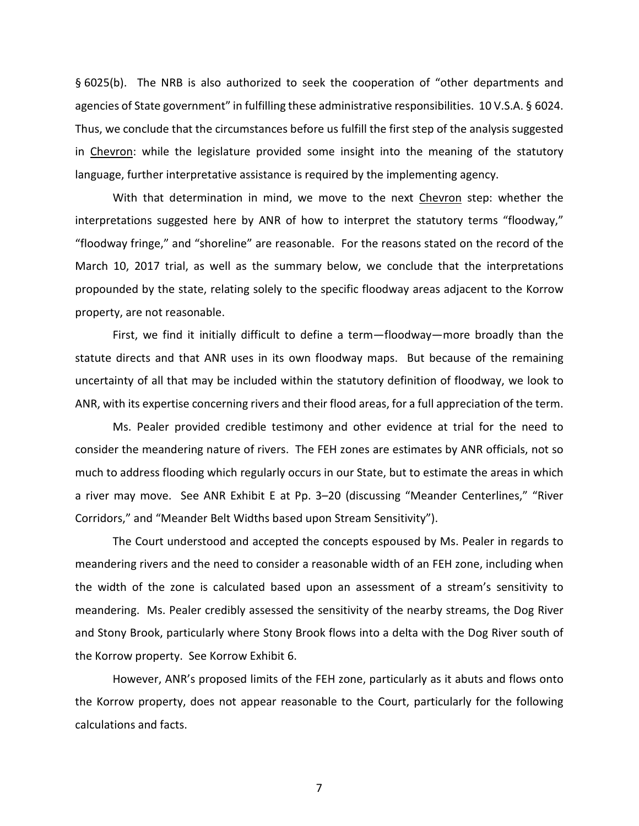§ 6025(b). The NRB is also authorized to seek the cooperation of "other departments and agencies of State government" in fulfilling these administrative responsibilities. 10 V.S.A. § 6024. Thus, we conclude that the circumstances before us fulfill the first step of the analysis suggested in Chevron: while the legislature provided some insight into the meaning of the statutory language, further interpretative assistance is required by the implementing agency.

With that determination in mind, we move to the next Chevron step: whether the interpretations suggested here by ANR of how to interpret the statutory terms "floodway," "floodway fringe," and "shoreline" are reasonable. For the reasons stated on the record of the March 10, 2017 trial, as well as the summary below, we conclude that the interpretations propounded by the state, relating solely to the specific floodway areas adjacent to the Korrow property, are not reasonable.

First, we find it initially difficult to define a term—floodway—more broadly than the statute directs and that ANR uses in its own floodway maps. But because of the remaining uncertainty of all that may be included within the statutory definition of floodway, we look to ANR, with its expertise concerning rivers and their flood areas, for a full appreciation of the term.

Ms. Pealer provided credible testimony and other evidence at trial for the need to consider the meandering nature of rivers. The FEH zones are estimates by ANR officials, not so much to address flooding which regularly occurs in our State, but to estimate the areas in which a river may move. See ANR Exhibit E at Pp. 3–20 (discussing "Meander Centerlines," "River Corridors," and "Meander Belt Widths based upon Stream Sensitivity").

The Court understood and accepted the concepts espoused by Ms. Pealer in regards to meandering rivers and the need to consider a reasonable width of an FEH zone, including when the width of the zone is calculated based upon an assessment of a stream's sensitivity to meandering. Ms. Pealer credibly assessed the sensitivity of the nearby streams, the Dog River and Stony Brook, particularly where Stony Brook flows into a delta with the Dog River south of the Korrow property. See Korrow Exhibit 6.

However, ANR's proposed limits of the FEH zone, particularly as it abuts and flows onto the Korrow property, does not appear reasonable to the Court, particularly for the following calculations and facts.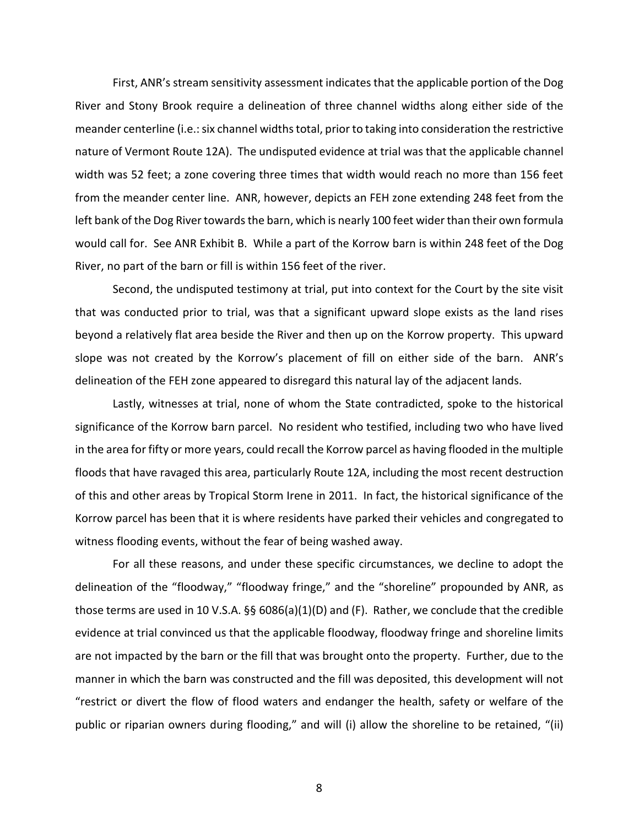First, ANR's stream sensitivity assessment indicates that the applicable portion of the Dog River and Stony Brook require a delineation of three channel widths along either side of the meander centerline (i.e.: six channel widths total, prior to taking into consideration the restrictive nature of Vermont Route 12A). The undisputed evidence at trial was that the applicable channel width was 52 feet; a zone covering three times that width would reach no more than 156 feet from the meander center line. ANR, however, depicts an FEH zone extending 248 feet from the left bank of the Dog River towards the barn, which is nearly 100 feet wider than their own formula would call for. See ANR Exhibit B. While a part of the Korrow barn is within 248 feet of the Dog River, no part of the barn or fill is within 156 feet of the river.

Second, the undisputed testimony at trial, put into context for the Court by the site visit that was conducted prior to trial, was that a significant upward slope exists as the land rises beyond a relatively flat area beside the River and then up on the Korrow property. This upward slope was not created by the Korrow's placement of fill on either side of the barn. ANR's delineation of the FEH zone appeared to disregard this natural lay of the adjacent lands.

Lastly, witnesses at trial, none of whom the State contradicted, spoke to the historical significance of the Korrow barn parcel. No resident who testified, including two who have lived in the area for fifty or more years, could recall the Korrow parcel as having flooded in the multiple floods that have ravaged this area, particularly Route 12A, including the most recent destruction of this and other areas by Tropical Storm Irene in 2011. In fact, the historical significance of the Korrow parcel has been that it is where residents have parked their vehicles and congregated to witness flooding events, without the fear of being washed away.

For all these reasons, and under these specific circumstances, we decline to adopt the delineation of the "floodway," "floodway fringe," and the "shoreline" propounded by ANR, as those terms are used in 10 V.S.A. §§ 6086(a)(1)(D) and (F). Rather, we conclude that the credible evidence at trial convinced us that the applicable floodway, floodway fringe and shoreline limits are not impacted by the barn or the fill that was brought onto the property. Further, due to the manner in which the barn was constructed and the fill was deposited, this development will not "restrict or divert the flow of flood waters and endanger the health, safety or welfare of the public or riparian owners during flooding," and will (i) allow the shoreline to be retained, "(ii)